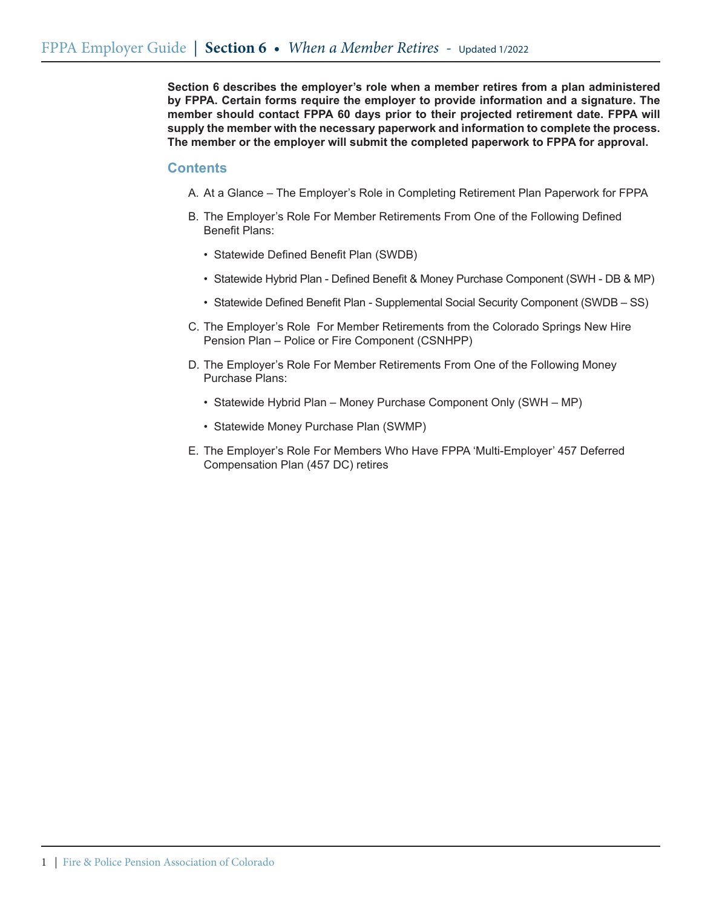**Section 6 describes the employer's role when a member retires from a plan administered by FPPA. Certain forms require the employer to provide information and a signature. The member should contact FPPA 60 days prior to their projected retirement date. FPPA will supply the member with the necessary paperwork and information to complete the process. The member or the employer will submit the completed paperwork to FPPA for approval.**

### **Contents**

- A. At a Glance The Employer's Role in Completing Retirement Plan Paperwork for FPPA
- B. The Employer's Role For Member Retirements From One of the Following Defined Benefit Plans:
	- • Statewide Defined Benefit Plan (SWDB)
	- Statewide Hybrid Plan Defined Benefit & Money Purchase Component (SWH DB & MP)
	- Statewide Defined Benefit Plan Supplemental Social Security Component (SWDB SS)
- C. The Employer's Role For Member Retirements from the Colorado Springs New Hire Pension Plan – Police or Fire Component (CSNHPP)
- D. The Employer's Role For Member Retirements From One of the Following Money Purchase Plans:
	- Statewide Hybrid Plan Money Purchase Component Only (SWH MP)
	- Statewide Money Purchase Plan (SWMP)
- E. The Employer's Role For Members Who Have FPPA 'Multi-Employer' 457 Deferred Compensation Plan (457 DC) retires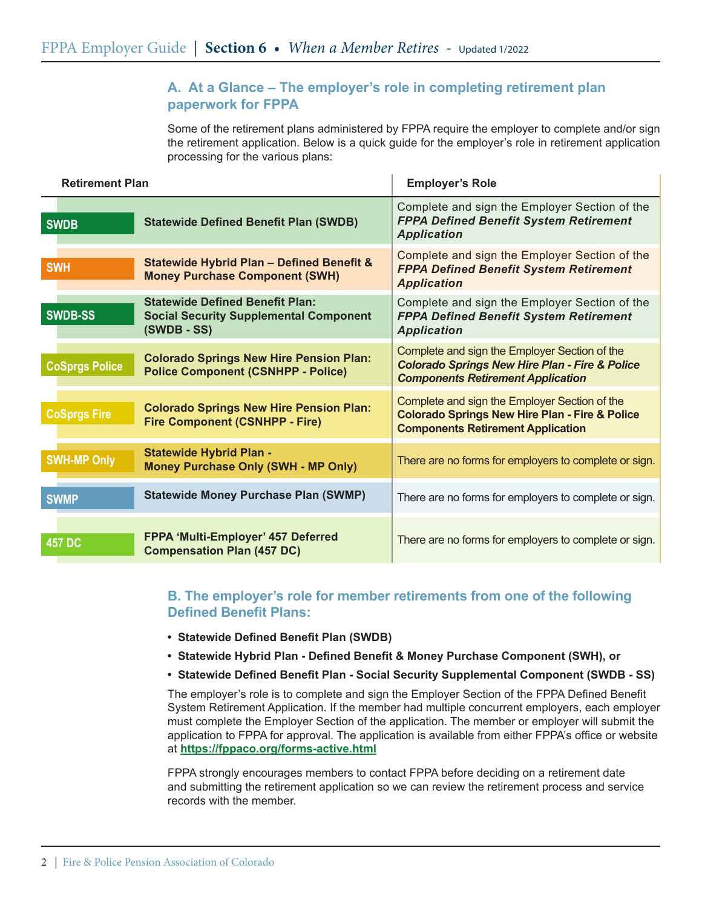# **A. At a Glance – The employer's role in completing retirement plan paperwork for FPPA**

Some of the retirement plans administered by FPPA require the employer to complete and/or sign the retirement application. Below is a quick guide for the employer's role in retirement application processing for the various plans:

| <b>Retirement Plan</b> |                                                                                                          | <b>Employer's Role</b>                                                                                                                                 |
|------------------------|----------------------------------------------------------------------------------------------------------|--------------------------------------------------------------------------------------------------------------------------------------------------------|
| <b>SWDB</b>            | <b>Statewide Defined Benefit Plan (SWDB)</b>                                                             | Complete and sign the Employer Section of the<br><b>FPPA Defined Benefit System Retirement</b><br><b>Application</b>                                   |
| <b>SWH</b>             | Statewide Hybrid Plan - Defined Benefit &<br><b>Money Purchase Component (SWH)</b>                       | Complete and sign the Employer Section of the<br><b>FPPA Defined Benefit System Retirement</b><br><b>Application</b>                                   |
| <b>SWDB-SS</b>         | <b>Statewide Defined Benefit Plan:</b><br><b>Social Security Supplemental Component</b><br>$(SWDB - SS)$ | Complete and sign the Employer Section of the<br><b>FPPA Defined Benefit System Retirement</b><br><b>Application</b>                                   |
| <b>CoSprgs Police</b>  | <b>Colorado Springs New Hire Pension Plan:</b><br><b>Police Component (CSNHPP - Police)</b>              | Complete and sign the Employer Section of the<br><b>Colorado Springs New Hire Plan - Fire &amp; Police</b><br><b>Components Retirement Application</b> |
| <b>CoSprgs Fire</b>    | <b>Colorado Springs New Hire Pension Plan:</b><br><b>Fire Component (CSNHPP - Fire)</b>                  | Complete and sign the Employer Section of the<br><b>Colorado Springs New Hire Plan - Fire &amp; Police</b><br><b>Components Retirement Application</b> |
| <b>SWH-MP Only</b>     | <b>Statewide Hybrid Plan -</b><br><b>Money Purchase Only (SWH - MP Only)</b>                             | There are no forms for employers to complete or sign.                                                                                                  |
| <b>SWMP</b>            | <b>Statewide Money Purchase Plan (SWMP)</b>                                                              | There are no forms for employers to complete or sign.                                                                                                  |
| <b>457 DC</b>          | FPPA 'Multi-Employer' 457 Deferred<br><b>Compensation Plan (457 DC)</b>                                  | There are no forms for employers to complete or sign.                                                                                                  |

## **B. The employer's role for member retirements from one of the following Defined Benefit Plans:**

- **• Statewide Defined Benefit Plan (SWDB)**
- **• Statewide Hybrid Plan Defined Benefit & Money Purchase Component (SWH), or**
- **• Statewide Defined Benefit Plan Social Security Supplemental Component (SWDB SS)**

The employer's role is to complete and sign the Employer Section of the FPPA Defined Benefit System Retirement Application. If the member had multiple concurrent employers, each employer must complete the Employer Section of the application. The member or employer will submit the application to FPPA for approval. The application is available from either FPPA's office or website at **https://fppaco.org/forms-active.html**

FPPA strongly encourages members to contact FPPA before deciding on a retirement date and submitting the retirement application so we can review the retirement process and service records with the member.